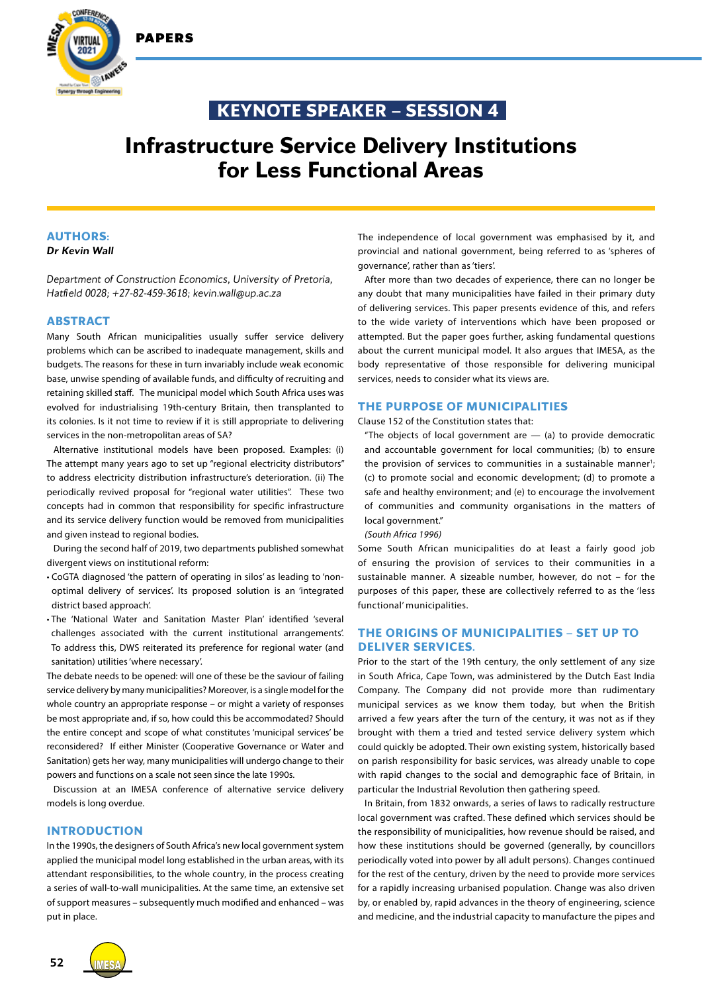PAPERS



## **KEYNOTE SPEAKER – SESSION 4**

# **Infrastructure Service Delivery Institutions for Less Functional Areas**

## **AUTHORS:**

#### *Dr Kevin Wall*

*Department of Construction Economics, University of Pretoria, Hatfield 0028; +27-82-459-3618; kevin.wall@up.ac.za*

#### **ABSTRACT**

Many South African municipalities usually suffer service delivery problems which can be ascribed to inadequate management, skills and budgets. The reasons for these in turn invariably include weak economic base, unwise spending of available funds, and difficulty of recruiting and retaining skilled staff. The municipal model which South Africa uses was evolved for industrialising 19th-century Britain, then transplanted to its colonies. Is it not time to review if it is still appropriate to delivering services in the non-metropolitan areas of SA?

Alternative institutional models have been proposed. Examples: (i) The attempt many years ago to set up "regional electricity distributors" to address electricity distribution infrastructure's deterioration. (ii) The periodically revived proposal for "regional water utilities". These two concepts had in common that responsibility for specific infrastructure and its service delivery function would be removed from municipalities and given instead to regional bodies.

During the second half of 2019, two departments published somewhat divergent views on institutional reform:

- CoGTA diagnosed 'the pattern of operating in silos' as leading to 'nonoptimal delivery of services'. Its proposed solution is an 'integrated district based approach'.
- The 'National Water and Sanitation Master Plan' identified 'several challenges associated with the current institutional arrangements'. To address this, DWS reiterated its preference for regional water (and sanitation) utilities 'where necessary'.

The debate needs to be opened: will one of these be the saviour of failing service delivery by many municipalities? Moreover, is a single model for the whole country an appropriate response – or might a variety of responses be most appropriate and, if so, how could this be accommodated? Should the entire concept and scope of what constitutes 'municipal services' be reconsidered? If either Minister (Cooperative Governance or Water and Sanitation) gets her way, many municipalities will undergo change to their powers and functions on a scale not seen since the late 1990s.

Discussion at an IMESA conference of alternative service delivery models is long overdue.

## **INTRODUCTION**

In the 1990s, the designers of South Africa's new local government system applied the municipal model long established in the urban areas, with its attendant responsibilities, to the whole country, in the process creating a series of wall-to-wall municipalities. At the same time, an extensive set of support measures – subsequently much modified and enhanced – was put in place.

The independence of local government was emphasised by it, and provincial and national government, being referred to as 'spheres of governance', rather than as 'tiers'.

After more than two decades of experience, there can no longer be any doubt that many municipalities have failed in their primary duty of delivering services. This paper presents evidence of this, and refers to the wide variety of interventions which have been proposed or attempted. But the paper goes further, asking fundamental questions about the current municipal model. It also argues that IMESA, as the body representative of those responsible for delivering municipal services, needs to consider what its views are.

## **THE PURPOSE OF MUNICIPALITIES**

Clause 152 of the Constitution states that:

"The objects of local government are  $-$  (a) to provide democratic and accountable government for local communities; (b) to ensure the provision of services to communities in a sustainable manner<sup>1</sup>; (c) to promote social and economic development; (d) to promote a safe and healthy environment; and (e) to encourage the involvement of communities and community organisations in the matters of local government."

*(South Africa 1996)*

Some South African municipalities do at least a fairly good job of ensuring the provision of services to their communities in a sustainable manner. A sizeable number, however, do not – for the purposes of this paper, these are collectively referred to as the 'less functional' municipalities.

## **THE ORIGINS OF MUNICIPALITIES – SET UP TO DELIVER SERVICES.**

Prior to the start of the 19th century, the only settlement of any size in South Africa, Cape Town, was administered by the Dutch East India Company. The Company did not provide more than rudimentary municipal services as we know them today, but when the British arrived a few years after the turn of the century, it was not as if they brought with them a tried and tested service delivery system which could quickly be adopted. Their own existing system, historically based on parish responsibility for basic services, was already unable to cope with rapid changes to the social and demographic face of Britain, in particular the Industrial Revolution then gathering speed.

In Britain, from 1832 onwards, a series of laws to radically restructure local government was crafted. These defined which services should be the responsibility of municipalities, how revenue should be raised, and how these institutions should be governed (generally, by councillors periodically voted into power by all adult persons). Changes continued for the rest of the century, driven by the need to provide more services for a rapidly increasing urbanised population. Change was also driven by, or enabled by, rapid advances in the theory of engineering, science and medicine, and the industrial capacity to manufacture the pipes and

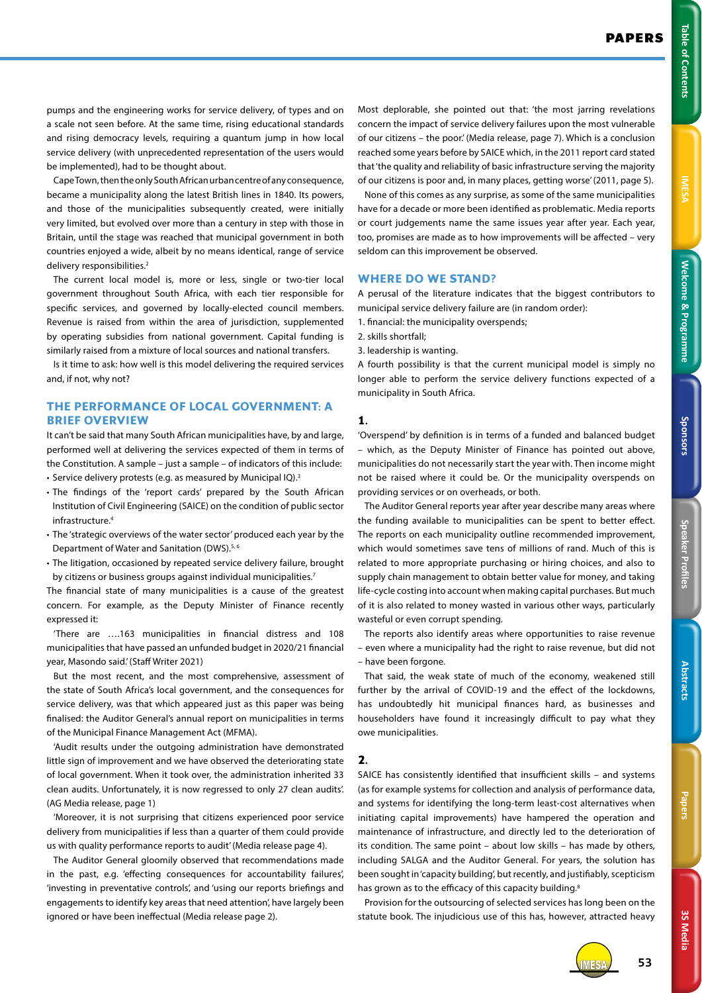3S Media **3S Media**

pumps and the engineering works for service delivery, of types and on a scale not seen before. At the same time, rising educational standards and rising democracy levels, requiring a quantum jump in how local service delivery (with unprecedented representation of the users would be implemented), had to be thought about.

Cape Town, then the only South African urban centre of any consequence, became a municipality along the latest British lines in 1840. Its powers, and those of the municipalities subsequently created, were initially very limited, but evolved over more than a century in step with those in Britain, until the stage was reached that municipal government in both countries enjoyed a wide, albeit by no means identical, range of service delivery responsibilities.<sup>2</sup>

The current local model is, more or less, single or two-tier local government throughout South Africa, with each tier responsible for specific services, and governed by locally-elected council members. Revenue is raised from within the area of jurisdiction, supplemented by operating subsidies from national government. Capital funding is similarly raised from a mixture of local sources and national transfers.

Is it time to ask: how well is this model delivering the required services and, if not, why not?

## **THE PERFORMANCE OF LOCAL GOVERNMENT: A BRIEF OVERVIEW**

It can't be said that many South African municipalities have, by and large, performed well at delivering the services expected of them in terms of the Constitution. A sample – just a sample – of indicators of this include: • Service delivery protests (e.g. as measured by Municipal IQ).3

- The findings of the 'report cards' prepared by the South African Institution of Civil Engineering (SAICE) on the condition of public sector
- infrastructure.4 • The 'strategic overviews of the water sector' produced each year by the Department of Water and Sanitation (DWS).<sup>5,6</sup>
- The litigation, occasioned by repeated service delivery failure, brought by citizens or business groups against individual municipalities.<sup>7</sup>

The financial state of many municipalities is a cause of the greatest concern. For example, as the Deputy Minister of Finance recently expressed it:

'There are ….163 municipalities in financial distress and 108 municipalities that have passed an unfunded budget in 2020/21 financial year, Masondo said.' (Staff Writer 2021)

But the most recent, and the most comprehensive, assessment of the state of South Africa's local government, and the consequences for service delivery, was that which appeared just as this paper was being finalised: the Auditor General's annual report on municipalities in terms of the Municipal Finance Management Act (MFMA).

'Audit results under the outgoing administration have demonstrated little sign of improvement and we have observed the deteriorating state of local government. When it took over, the administration inherited 33 clean audits. Unfortunately, it is now regressed to only 27 clean audits'. (AG Media release, page 1)

'Moreover, it is not surprising that citizens experienced poor service delivery from municipalities if less than a quarter of them could provide us with quality performance reports to audit' (Media release page 4).

The Auditor General gloomily observed that recommendations made in the past, e.g. 'effecting consequences for accountability failures', 'investing in preventative controls', and 'using our reports briefings and engagements to identify key areas that need attention', have largely been ignored or have been ineffectual (Media release page 2).

Most deplorable, she pointed out that: 'the most jarring revelations concern the impact of service delivery failures upon the most vulnerable of our citizens – the poor.' (Media release, page 7). Which is a conclusion reached some years before by SAICE which, in the 2011 report card stated that 'the quality and reliability of basic infrastructure serving the majority of our citizens is poor and, in many places, getting worse' (2011, page 5).

None of this comes as any surprise, as some of the same municipalities have for a decade or more been identified as problematic. Media reports or court judgements name the same issues year after year. Each year, too, promises are made as to how improvements will be affected – very seldom can this improvement be observed.

## **WHERE DO WE STAND?**

A perusal of the literature indicates that the biggest contributors to municipal service delivery failure are (in random order):

1. financial: the municipality overspends;

2. skills shortfall;

3. leadership is wanting.

A fourth possibility is that the current municipal model is simply no longer able to perform the service delivery functions expected of a municipality in South Africa.

#### **1.**

'Overspend' by definition is in terms of a funded and balanced budget – which, as the Deputy Minister of Finance has pointed out above, municipalities do not necessarily start the year with. Then income might not be raised where it could be. Or the municipality overspends on providing services or on overheads, or both.

The Auditor General reports year after year describe many areas where the funding available to municipalities can be spent to better effect. The reports on each municipality outline recommended improvement, which would sometimes save tens of millions of rand. Much of this is related to more appropriate purchasing or hiring choices, and also to supply chain management to obtain better value for money, and taking life-cycle costing into account when making capital purchases. But much of it is also related to money wasted in various other ways, particularly wasteful or even corrupt spending.

The reports also identify areas where opportunities to raise revenue – even where a municipality had the right to raise revenue, but did not – have been forgone.

That said, the weak state of much of the economy, weakened still further by the arrival of COVID-19 and the effect of the lockdowns, has undoubtedly hit municipal finances hard, as businesses and householders have found it increasingly difficult to pay what they owe municipalities.

## **2.**

SAICE has consistently identified that insufficient skills – and systems (as for example systems for collection and analysis of performance data, and systems for identifying the long-term least-cost alternatives when initiating capital improvements) have hampered the operation and maintenance of infrastructure, and directly led to the deterioration of its condition. The same point – about low skills – has made by others, including SALGA and the Auditor General. For years, the solution has been sought in 'capacity building', but recently, and justifiably, scepticism has grown as to the efficacy of this capacity building.<sup>8</sup>

Provision for the outsourcing of selected services has long been on the statute book. The injudicious use of this has, however, attracted heavy

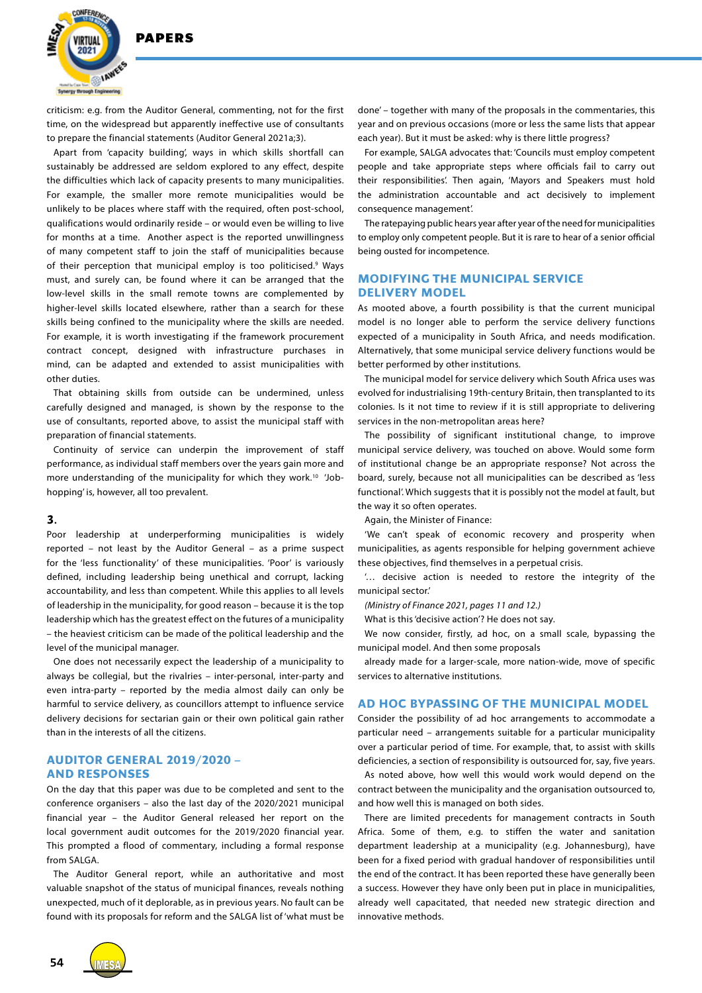

criticism: e.g. from the Auditor General, commenting, not for the first time, on the widespread but apparently ineffective use of consultants to prepare the financial statements (Auditor General 2021a;3).

Apart from 'capacity building', ways in which skills shortfall can sustainably be addressed are seldom explored to any effect, despite the difficulties which lack of capacity presents to many municipalities. For example, the smaller more remote municipalities would be unlikely to be places where staff with the required, often post-school, qualifications would ordinarily reside – or would even be willing to live for months at a time. Another aspect is the reported unwillingness of many competent staff to join the staff of municipalities because of their perception that municipal employ is too politicised.<sup>9</sup> Ways must, and surely can, be found where it can be arranged that the low-level skills in the small remote towns are complemented by higher-level skills located elsewhere, rather than a search for these skills being confined to the municipality where the skills are needed. For example, it is worth investigating if the framework procurement contract concept, designed with infrastructure purchases in mind, can be adapted and extended to assist municipalities with other duties.

That obtaining skills from outside can be undermined, unless carefully designed and managed, is shown by the response to the use of consultants, reported above, to assist the municipal staff with preparation of financial statements.

Continuity of service can underpin the improvement of staff performance, as individual staff members over the years gain more and more understanding of the municipality for which they work.<sup>10</sup> 'Jobhopping' is, however, all too prevalent.

#### **3.**

Poor leadership at underperforming municipalities is widely reported – not least by the Auditor General – as a prime suspect for the 'less functionality' of these municipalities. 'Poor' is variously defined, including leadership being unethical and corrupt, lacking accountability, and less than competent. While this applies to all levels of leadership in the municipality, for good reason – because it is the top leadership which has the greatest effect on the futures of a municipality – the heaviest criticism can be made of the political leadership and the level of the municipal manager.

One does not necessarily expect the leadership of a municipality to always be collegial, but the rivalries – inter-personal, inter-party and even intra-party – reported by the media almost daily can only be harmful to service delivery, as councillors attempt to influence service delivery decisions for sectarian gain or their own political gain rather than in the interests of all the citizens.

#### **AUDITOR GENERAL 2019/2020 – AND RESPONSES**

On the day that this paper was due to be completed and sent to the conference organisers – also the last day of the 2020/2021 municipal financial year – the Auditor General released her report on the local government audit outcomes for the 2019/2020 financial year. This prompted a flood of commentary, including a formal response from SALGA.

The Auditor General report, while an authoritative and most valuable snapshot of the status of municipal finances, reveals nothing unexpected, much of it deplorable, as in previous years. No fault can be found with its proposals for reform and the SALGA list of 'what must be

done' – together with many of the proposals in the commentaries, this year and on previous occasions (more or less the same lists that appear each year). But it must be asked: why is there little progress?

For example, SALGA advocates that: 'Councils must employ competent people and take appropriate steps where officials fail to carry out their responsibilities'. Then again, 'Mayors and Speakers must hold the administration accountable and act decisively to implement consequence management'.

The ratepaying public hears year after year of the need for municipalities to employ only competent people. But it is rare to hear of a senior official being ousted for incompetence.

## **MODIFYING THE MUNICIPAL SERVICE DELIVERY MODEL**

As mooted above, a fourth possibility is that the current municipal model is no longer able to perform the service delivery functions expected of a municipality in South Africa, and needs modification. Alternatively, that some municipal service delivery functions would be better performed by other institutions.

The municipal model for service delivery which South Africa uses was evolved for industrialising 19th-century Britain, then transplanted to its colonies. Is it not time to review if it is still appropriate to delivering services in the non-metropolitan areas here?

The possibility of significant institutional change, to improve municipal service delivery, was touched on above. Would some form of institutional change be an appropriate response? Not across the board, surely, because not all municipalities can be described as 'less functional'. Which suggests that it is possibly not the model at fault, but the way it so often operates.

Again, the Minister of Finance:

'We can't speak of economic recovery and prosperity when municipalities, as agents responsible for helping government achieve these objectives, find themselves in a perpetual crisis.

'… decisive action is needed to restore the integrity of the municipal sector.'

*(Ministry of Finance 2021, pages 11 and 12.)*

What is this 'decisive action'? He does not say.

We now consider, firstly, ad hoc, on a small scale, bypassing the municipal model. And then some proposals

already made for a larger-scale, more nation-wide, move of specific services to alternative institutions.

## **AD HOC BYPASSING OF THE MUNICIPAL MODEL**

Consider the possibility of ad hoc arrangements to accommodate a particular need – arrangements suitable for a particular municipality over a particular period of time. For example, that, to assist with skills deficiencies, a section of responsibility is outsourced for, say, five years.

As noted above, how well this would work would depend on the contract between the municipality and the organisation outsourced to, and how well this is managed on both sides.

There are limited precedents for management contracts in South Africa. Some of them, e.g. to stiffen the water and sanitation department leadership at a municipality (e.g. Johannesburg), have been for a fixed period with gradual handover of responsibilities until the end of the contract. It has been reported these have generally been a success. However they have only been put in place in municipalities, already well capacitated, that needed new strategic direction and innovative methods.

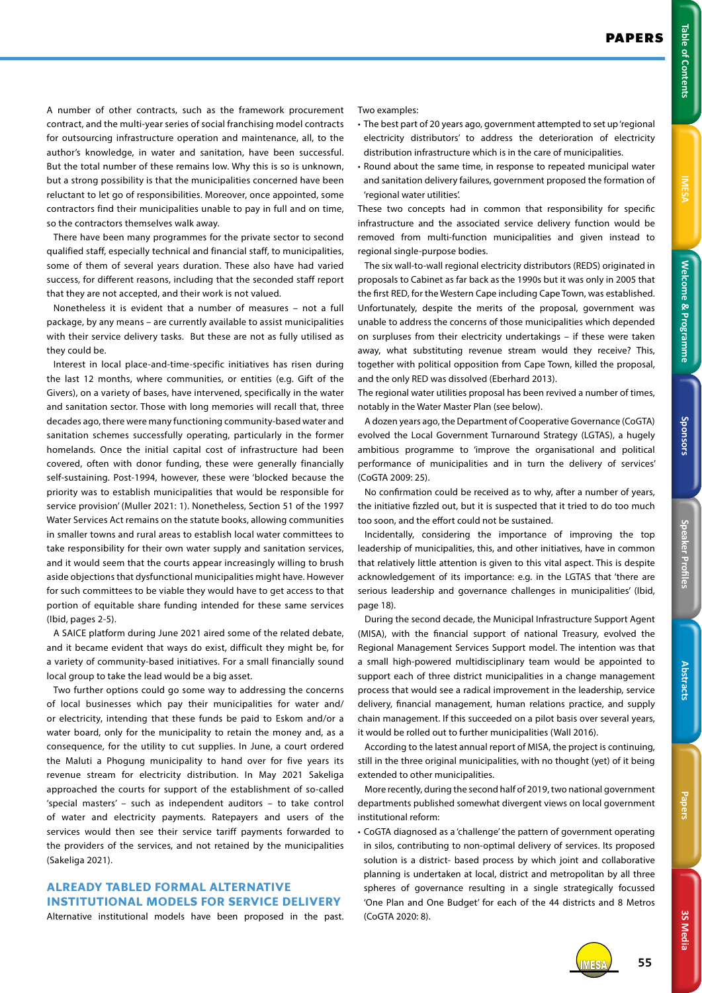**3S Media**

3S Media

A number of other contracts, such as the framework procurement contract, and the multi-year series of social franchising model contracts for outsourcing infrastructure operation and maintenance, all, to the author's knowledge, in water and sanitation, have been successful. But the total number of these remains low. Why this is so is unknown, but a strong possibility is that the municipalities concerned have been reluctant to let go of responsibilities. Moreover, once appointed, some contractors find their municipalities unable to pay in full and on time, so the contractors themselves walk away.

There have been many programmes for the private sector to second qualified staff, especially technical and financial staff, to municipalities, some of them of several years duration. These also have had varied success, for different reasons, including that the seconded staff report that they are not accepted, and their work is not valued.

Nonetheless it is evident that a number of measures – not a full package, by any means – are currently available to assist municipalities with their service delivery tasks. But these are not as fully utilised as they could be.

Interest in local place-and-time-specific initiatives has risen during the last 12 months, where communities, or entities (e.g. Gift of the Givers), on a variety of bases, have intervened, specifically in the water and sanitation sector. Those with long memories will recall that, three decades ago, there were many functioning community-based water and sanitation schemes successfully operating, particularly in the former homelands. Once the initial capital cost of infrastructure had been covered, often with donor funding, these were generally financially self-sustaining. Post-1994, however, these were 'blocked because the priority was to establish municipalities that would be responsible for service provision' (Muller 2021: 1). Nonetheless, Section 51 of the 1997 Water Services Act remains on the statute books, allowing communities in smaller towns and rural areas to establish local water committees to take responsibility for their own water supply and sanitation services, and it would seem that the courts appear increasingly willing to brush aside objections that dysfunctional municipalities might have. However for such committees to be viable they would have to get access to that portion of equitable share funding intended for these same services (Ibid, pages 2-5).

A SAICE platform during June 2021 aired some of the related debate, and it became evident that ways do exist, difficult they might be, for a variety of community-based initiatives. For a small financially sound local group to take the lead would be a big asset.

Two further options could go some way to addressing the concerns of local businesses which pay their municipalities for water and/ or electricity, intending that these funds be paid to Eskom and/or a water board, only for the municipality to retain the money and, as a consequence, for the utility to cut supplies. In June, a court ordered the Maluti a Phogung municipality to hand over for five years its revenue stream for electricity distribution. In May 2021 Sakeliga approached the courts for support of the establishment of so-called 'special masters' – such as independent auditors – to take control of water and electricity payments. Ratepayers and users of the services would then see their service tariff payments forwarded to the providers of the services, and not retained by the municipalities (Sakeliga 2021).

## **ALREADY TABLED FORMAL ALTERNATIVE INSTITUTIONAL MODELS FOR SERVICE DELIVERY**

Alternative institutional models have been proposed in the past.

Two examples:

- The best part of 20 years ago, government attempted to set up 'regional electricity distributors' to address the deterioration of electricity distribution infrastructure which is in the care of municipalities.
- Round about the same time, in response to repeated municipal water and sanitation delivery failures, government proposed the formation of 'regional water utilities'.

These two concepts had in common that responsibility for specific infrastructure and the associated service delivery function would be removed from multi-function municipalities and given instead to regional single-purpose bodies.

The six wall-to-wall regional electricity distributors (REDS) originated in proposals to Cabinet as far back as the 1990s but it was only in 2005 that the first RED, for the Western Cape including Cape Town, was established. Unfortunately, despite the merits of the proposal, government was unable to address the concerns of those municipalities which depended on surpluses from their electricity undertakings – if these were taken away, what substituting revenue stream would they receive? This, together with political opposition from Cape Town, killed the proposal, and the only RED was dissolved (Eberhard 2013).

The regional water utilities proposal has been revived a number of times, notably in the Water Master Plan (see below).

A dozen years ago, the Department of Cooperative Governance (CoGTA) evolved the Local Government Turnaround Strategy (LGTAS), a hugely ambitious programme to 'improve the organisational and political performance of municipalities and in turn the delivery of services' (CoGTA 2009: 25).

No confirmation could be received as to why, after a number of years, the initiative fizzled out, but it is suspected that it tried to do too much too soon, and the effort could not be sustained.

Incidentally, considering the importance of improving the top leadership of municipalities, this, and other initiatives, have in common that relatively little attention is given to this vital aspect. This is despite acknowledgement of its importance: e.g. in the LGTAS that 'there are serious leadership and governance challenges in municipalities' (Ibid, page 18).

During the second decade, the Municipal Infrastructure Support Agent (MISA), with the financial support of national Treasury, evolved the Regional Management Services Support model. The intention was that a small high-powered multidisciplinary team would be appointed to support each of three district municipalities in a change management process that would see a radical improvement in the leadership, service delivery, financial management, human relations practice, and supply chain management. If this succeeded on a pilot basis over several years, it would be rolled out to further municipalities (Wall 2016).

According to the latest annual report of MISA, the project is continuing, still in the three original municipalities, with no thought (yet) of it being extended to other municipalities.

More recently, during the second half of 2019, two national government departments published somewhat divergent views on local government institutional reform:

• CoGTA diagnosed as a 'challenge' the pattern of government operating in silos, contributing to non-optimal delivery of services. Its proposed solution is a district- based process by which joint and collaborative planning is undertaken at local, district and metropolitan by all three spheres of governance resulting in a single strategically focussed 'One Plan and One Budget' for each of the 44 districts and 8 Metros (CoGTA 2020: 8).

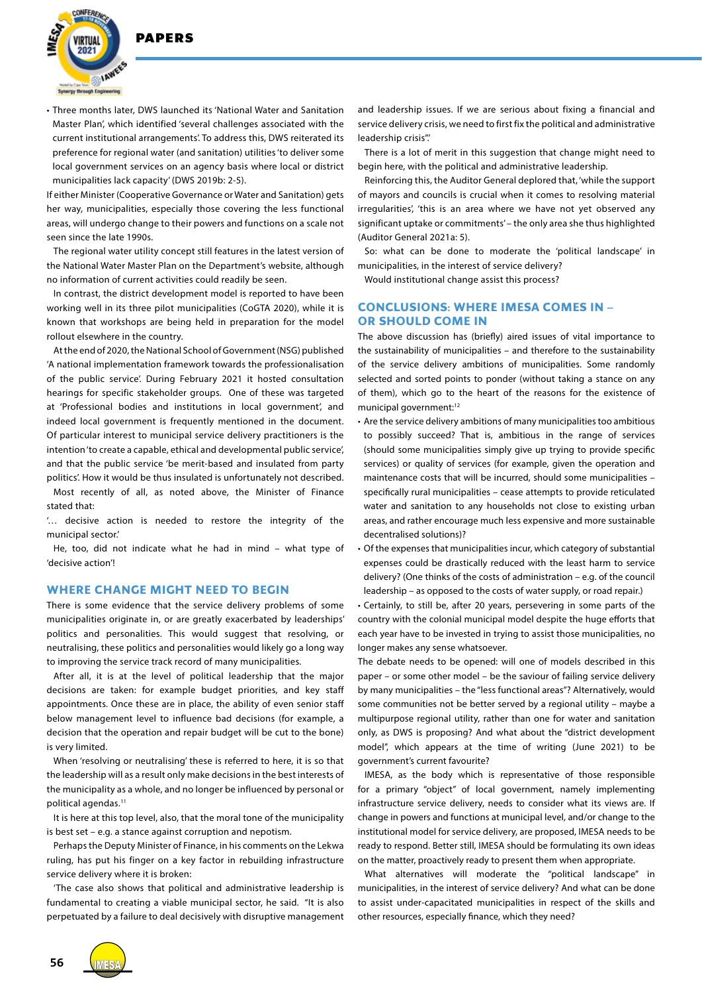

• Three months later, DWS launched its 'National Water and Sanitation Master Plan', which identified 'several challenges associated with the current institutional arrangements'. To address this, DWS reiterated its preference for regional water (and sanitation) utilities 'to deliver some local government services on an agency basis where local or district municipalities lack capacity' (DWS 2019b: 2-5).

If either Minister (Cooperative Governance or Water and Sanitation) gets her way, municipalities, especially those covering the less functional areas, will undergo change to their powers and functions on a scale not seen since the late 1990s.

The regional water utility concept still features in the latest version of the National Water Master Plan on the Department's website, although no information of current activities could readily be seen.

In contrast, the district development model is reported to have been working well in its three pilot municipalities (CoGTA 2020), while it is known that workshops are being held in preparation for the model rollout elsewhere in the country.

At the end of 2020, the National School of Government (NSG) published 'A national implementation framework towards the professionalisation of the public service'. During February 2021 it hosted consultation hearings for specific stakeholder groups. One of these was targeted at 'Professional bodies and institutions in local government', and indeed local government is frequently mentioned in the document. Of particular interest to municipal service delivery practitioners is the intention 'to create a capable, ethical and developmental public service', and that the public service 'be merit-based and insulated from party politics'. How it would be thus insulated is unfortunately not described.

Most recently of all, as noted above, the Minister of Finance stated that:

'… decisive action is needed to restore the integrity of the municipal sector.'

He, too, did not indicate what he had in mind – what type of 'decisive action'!

## **WHERE CHANGE MIGHT NEED TO BEGIN**

There is some evidence that the service delivery problems of some municipalities originate in, or are greatly exacerbated by leaderships' politics and personalities. This would suggest that resolving, or neutralising, these politics and personalities would likely go a long way to improving the service track record of many municipalities.

After all, it is at the level of political leadership that the major decisions are taken: for example budget priorities, and key staff appointments. Once these are in place, the ability of even senior staff below management level to influence bad decisions (for example, a decision that the operation and repair budget will be cut to the bone) is very limited.

When 'resolving or neutralising' these is referred to here, it is so that the leadership will as a result only make decisions in the best interests of the municipality as a whole, and no longer be influenced by personal or political agendas.<sup>11</sup>

It is here at this top level, also, that the moral tone of the municipality is best set – e.g. a stance against corruption and nepotism.

Perhaps the Deputy Minister of Finance, in his comments on the Lekwa ruling, has put his finger on a key factor in rebuilding infrastructure service delivery where it is broken:

'The case also shows that political and administrative leadership is fundamental to creating a viable municipal sector, he said. "It is also perpetuated by a failure to deal decisively with disruptive management and leadership issues. If we are serious about fixing a financial and service delivery crisis, we need to first fix the political and administrative leadership crisis".'

There is a lot of merit in this suggestion that change might need to begin here, with the political and administrative leadership.

Reinforcing this, the Auditor General deplored that, 'while the support of mayors and councils is crucial when it comes to resolving material irregularities', 'this is an area where we have not yet observed any significant uptake or commitments' – the only area she thus highlighted (Auditor General 2021a: 5).

So: what can be done to moderate the 'political landscape' in municipalities, in the interest of service delivery?

Would institutional change assist this process?

## **CONCLUSIONS: WHERE IMESA COMES IN – OR SHOULD COME IN**

The above discussion has (briefly) aired issues of vital importance to the sustainability of municipalities – and therefore to the sustainability of the service delivery ambitions of municipalities. Some randomly selected and sorted points to ponder (without taking a stance on any of them), which go to the heart of the reasons for the existence of municipal government:12

- Are the service delivery ambitions of many municipalities too ambitious to possibly succeed? That is, ambitious in the range of services (should some municipalities simply give up trying to provide specific services) or quality of services (for example, given the operation and maintenance costs that will be incurred, should some municipalities – specifically rural municipalities – cease attempts to provide reticulated water and sanitation to any households not close to existing urban areas, and rather encourage much less expensive and more sustainable decentralised solutions)?
- Of the expenses that municipalities incur, which category of substantial expenses could be drastically reduced with the least harm to service delivery? (One thinks of the costs of administration – e.g. of the council leadership – as opposed to the costs of water supply, or road repair.)

• Certainly, to still be, after 20 years, persevering in some parts of the country with the colonial municipal model despite the huge efforts that each year have to be invested in trying to assist those municipalities, no longer makes any sense whatsoever.

The debate needs to be opened: will one of models described in this paper – or some other model – be the saviour of failing service delivery by many municipalities – the "less functional areas"? Alternatively, would some communities not be better served by a regional utility – maybe a multipurpose regional utility, rather than one for water and sanitation only, as DWS is proposing? And what about the "district development model", which appears at the time of writing (June 2021) to be government's current favourite?

IMESA, as the body which is representative of those responsible for a primary "object" of local government, namely implementing infrastructure service delivery, needs to consider what its views are. If change in powers and functions at municipal level, and/or change to the institutional model for service delivery, are proposed, IMESA needs to be ready to respond. Better still, IMESA should be formulating its own ideas on the matter, proactively ready to present them when appropriate.

What alternatives will moderate the "political landscape" in municipalities, in the interest of service delivery? And what can be done to assist under-capacitated municipalities in respect of the skills and other resources, especially finance, which they need?

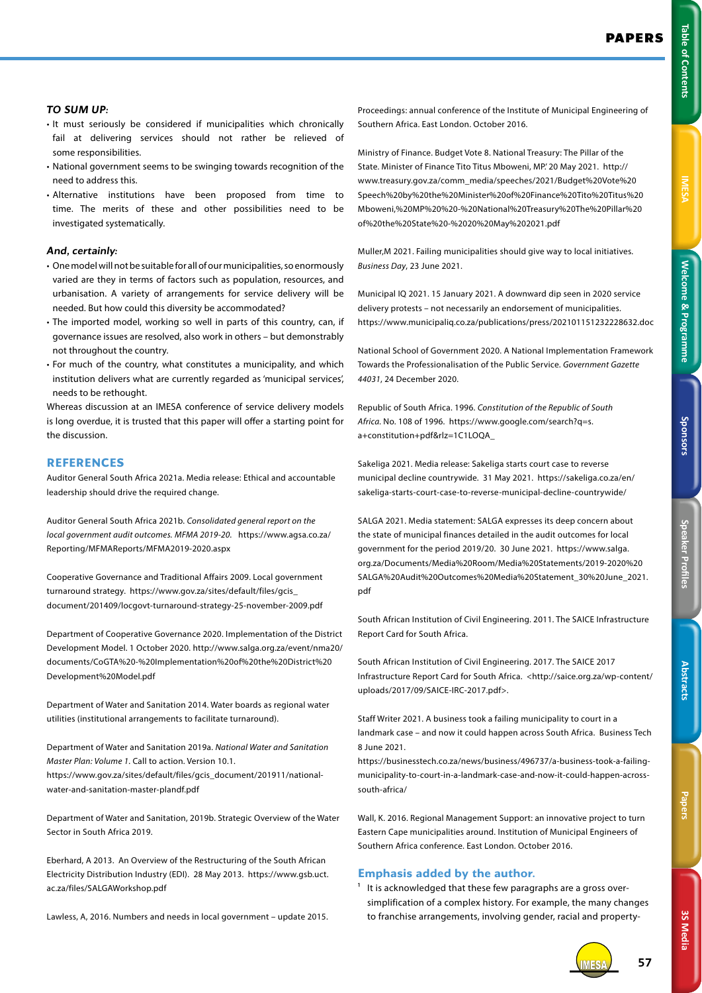**Table of Contents** 

## *TO SUM UP:*

- It must seriously be considered if municipalities which chronically fail at delivering services should not rather be relieved of some responsibilities.
- National government seems to be swinging towards recognition of the need to address this.
- Alternative institutions have been proposed from time to time. The merits of these and other possibilities need to be investigated systematically.

## *And, certainly:*

- One model will not be suitable for all of our municipalities, so enormously varied are they in terms of factors such as population, resources, and urbanisation. A variety of arrangements for service delivery will be needed. But how could this diversity be accommodated?
- The imported model, working so well in parts of this country, can, if governance issues are resolved, also work in others – but demonstrably not throughout the country.
- For much of the country, what constitutes a municipality, and which institution delivers what are currently regarded as 'municipal services', needs to be rethought.

Whereas discussion at an IMESA conference of service delivery models is long overdue, it is trusted that this paper will offer a starting point for the discussion.

## **REFERENCES**

Auditor General South Africa 2021a. Media release: Ethical and accountable leadership should drive the required change.

Auditor General South Africa 2021b. *Consolidated general report on the local government audit outcomes. MFMA 2019-20.* https://www.agsa.co.za/ Reporting/MFMAReports/MFMA2019-2020.aspx

Cooperative Governance and Traditional Affairs 2009. Local government turnaround strategy. https://www.gov.za/sites/default/files/gcis\_ document/201409/locgovt-turnaround-strategy-25-november-2009.pdf

Department of Cooperative Governance 2020. Implementation of the District Development Model. 1 October 2020. http://www.salga.org.za/event/nma20/ documents/CoGTA%20-%20Implementation%20of%20the%20District%20 Development%20Model.pdf

Department of Water and Sanitation 2014. Water boards as regional water utilities (institutional arrangements to facilitate turnaround).

Department of Water and Sanitation 2019a. *National Water and Sanitation Master Plan: Volume 1*. Call to action. Version 10.1. https://www.gov.za/sites/default/files/gcis\_document/201911/nationalwater-and-sanitation-master-plandf.pdf

Department of Water and Sanitation, 2019b. Strategic Overview of the Water Sector in South Africa 2019.

Eberhard, A 2013. An Overview of the Restructuring of the South African Electricity Distribution Industry (EDI). 28 May 2013. https://www.gsb.uct. ac.za/files/SALGAWorkshop.pdf

Lawless, A, 2016. Numbers and needs in local government – update 2015.

Proceedings: annual conference of the Institute of Municipal Engineering of Southern Africa. East London. October 2016.

Ministry of Finance. Budget Vote 8. National Treasury: The Pillar of the State. Minister of Finance Tito Titus Mboweni, MP.' 20 May 2021. http:// www.treasury.gov.za/comm\_media/speeches/2021/Budget%20Vote%20 Speech%20by%20the%20Minister%20of%20Finance%20Tito%20Titus%20 Mboweni,%20MP%20%20-%20National%20Treasury%20The%20Pillar%20 of%20the%20State%20-%2020%20May%202021.pdf

Muller,M 2021. Failing municipalities should give way to local initiatives. *Business Day*, 23 June 2021.

Municipal IQ 2021. 15 January 2021. A downward dip seen in 2020 service delivery protests – not necessarily an endorsement of municipalities. https://www.municipaliq.co.za/publications/press/202101151232228632.doc

National School of Government 2020. A National Implementation Framework Towards the Professionalisation of the Public Service. *Government Gazette 44031*, 24 December 2020.

Republic of South Africa. 1996. *Constitution of the Republic of South Africa.* No. 108 of 1996. https://www.google.com/search?q=s. a+constitution+pdf&rlz=1C1LOQA\_

Sakeliga 2021. Media release: Sakeliga starts court case to reverse municipal decline countrywide. 31 May 2021. https://sakeliga.co.za/en/ sakeliga-starts-court-case-to-reverse-municipal-decline-countrywide/

SALGA 2021. Media statement: SALGA expresses its deep concern about the state of municipal finances detailed in the audit outcomes for local government for the period 2019/20. 30 June 2021. https://www.salga. org.za/Documents/Media%20Room/Media%20Statements/2019-2020%20 SALGA%20Audit%20Outcomes%20Media%20Statement\_30%20June\_2021. pdf

South African Institution of Civil Engineering. 2011. The SAICE Infrastructure Report Card for South Africa.

South African Institution of Civil Engineering. 2017. The SAICE 2017 Infrastructure Report Card for South Africa. <http://saice.org.za/wp-content/ uploads/2017/09/SAICE-IRC-2017.pdf>.

Staff Writer 2021. A business took a failing municipality to court in a landmark case – and now it could happen across South Africa. Business Tech 8 June 2021.

https://businesstech.co.za/news/business/496737/a-business-took-a-failingmunicipality-to-court-in-a-landmark-case-and-now-it-could-happen-acrosssouth-africa/

Wall, K. 2016. Regional Management Support: an innovative project to turn Eastern Cape municipalities around. Institution of Municipal Engineers of Southern Africa conference. East London. October 2016.

## **Emphasis added by the author.**

<sup>1</sup> It is acknowledged that these few paragraphs are a gross oversimplification of a complex history. For example, the many changes to franchise arrangements, involving gender, racial and property-



**3S Media**

3S Media